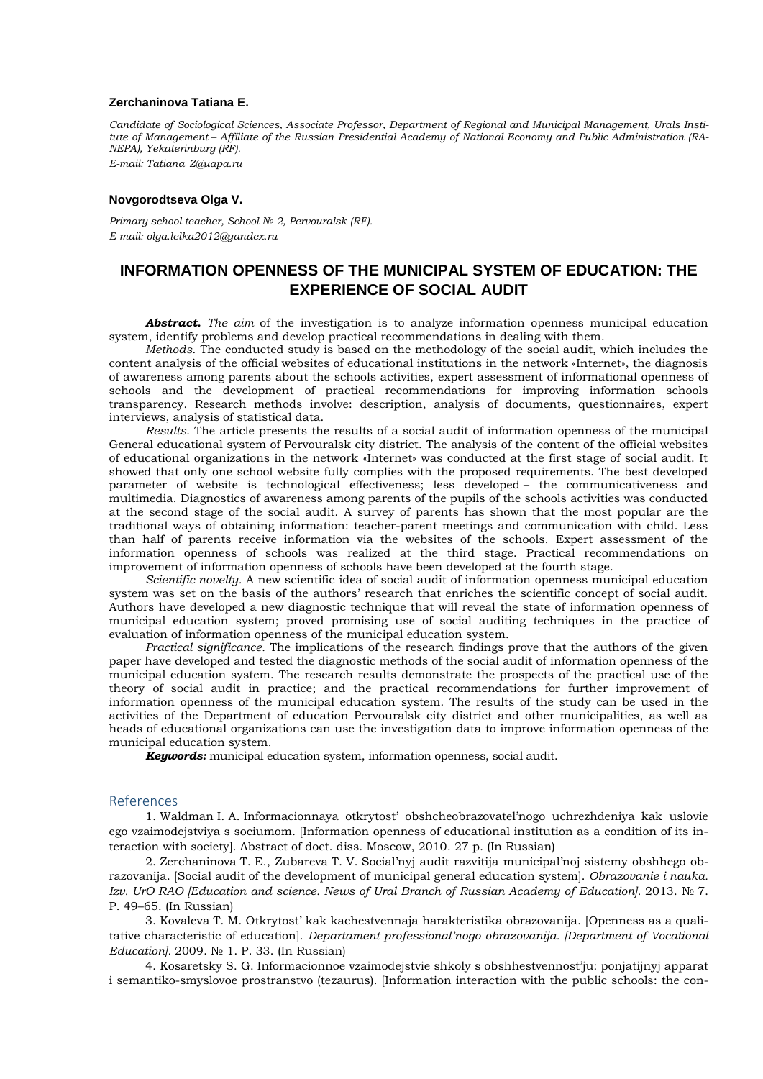## **Zerchaninova Tatiana E.**

*Candidate of Sociological Sciences, Associate Professor, Department of Regional and Municipal Management, Urals Institute of Management – Affiliate of the Russian Presidential Academy of National Economy and Public Administration (RA-NEPA), Yekaterinburg (RF). E-mail: Tatiana\_Z@uapa.ru*

## **Novgorodtseva Olga V.**

*Primary school teacher, School № 2, Pervouralsk (RF). E-mail: olga.lelka2012@yandex.ru*

## **INFORMATION OPENNESS OF THE MUNICIPAL SYSTEM OF EDUCATION: THE EXPERIENCE OF SOCIAL AUDIT**

*Аbstract. The aim* of the investigation is to analyze information openness municipal education system, identify problems and develop practical recommendations in dealing with them.

*Methods*. The conducted study is based on the methodology of the social audit, which includes the content analysis of the official websites of educational institutions in the network «Internet», the diagnosis of awareness among parents about the schools activities, expert assessment of informational openness of schools and the development of practical recommendations for improving information schools transparency. Research methods involve: description, analysis of documents, questionnaires, expert interviews, analysis of statistical data.

*Results*. The article presents the results of a social audit of information openness of the municipal General educational system of Pervouralsk city district. The analysis of the content of the official websites of educational organizations in the network «Internet» was conducted at the first stage of social audit. It showed that only one school website fully complies with the proposed requirements. The best developed parameter of website is technological effectiveness; less developed – the communicativeness and multimedia. Diagnostics of awareness among parents of the pupils of the schools activities was conducted at the second stage of the social audit. A survey of parents has shown that the most popular are the traditional ways of obtaining information: teacher-parent meetings and communication with child. Less than half of parents receive information via the websites of the schools. Expert assessment of the information openness of schools was realized at the third stage. Practical recommendations on improvement of information openness of schools have been developed at the fourth stage.

*Scientific novelty.* A new scientific idea of social audit of information openness municipal education system was set on the basis of the authors' research that enriches the scientific concept of social audit. Authors have developed a new diagnostic technique that will reveal the state of information openness of municipal education system; proved promising use of social auditing techniques in the practice of evaluation of information openness of the municipal education system.

*Practical significance.* The implications of the research findings prove that the authors of the given paper have developed and tested the diagnostic methods of the social audit of information openness of the municipal education system. The research results demonstrate the prospects of the practical use of the theory of social audit in practice; and the practical recommendations for further improvement of information openness of the municipal education system. The results of the study can be used in the activities of the Department of education Pervouralsk city district and other municipalities, as well as heads of educational organizations can use the investigation data to improve information openness of the municipal education system.

*Keywords:* municipal education system, information openness, social audit.

## References

1. Waldman I. A. Informacionnaya otkrytost' obshcheobrazovatel'nogo uchrezhdeniya kak uslovie ego vzaimodejstviya s sociumom. [Information openness of educational institution as a condition of its interaction with society]. Abstract of doct. diss. Moscow, 2010. 27 p. (In Russian)

2. Zerchaninova T. E., Zubareva T. V. Social'nyj audit razvitija municipal'noj sistemy obshhego obrazovanija. [Social audit of the development of municipal general education system]. *Obrazovanie i nauka. Izv. UrO RAO [Education and science. News of Ural Branch of Russian Academy of Education].* 2013. № 7. P. 49–65. (In Russian)

3. Kovaleva T. M. Otkrytost' kak kachestvennaja harakteristika obrazovanija. [Openness as a qualitative characteristic of education]. *Departament professional'nogo obrazovanija. [Department of Vocational Education].* 2009. № 1. P. 33. (In Russian)

4. Kosaretsky S. G. Informacionnoe vzaimodejstvie shkoly s obshhestvennost'ju: ponjatijnyj apparat i semantiko-smyslovoe prostranstvo (tezaurus). [Information interaction with the public schools: the con